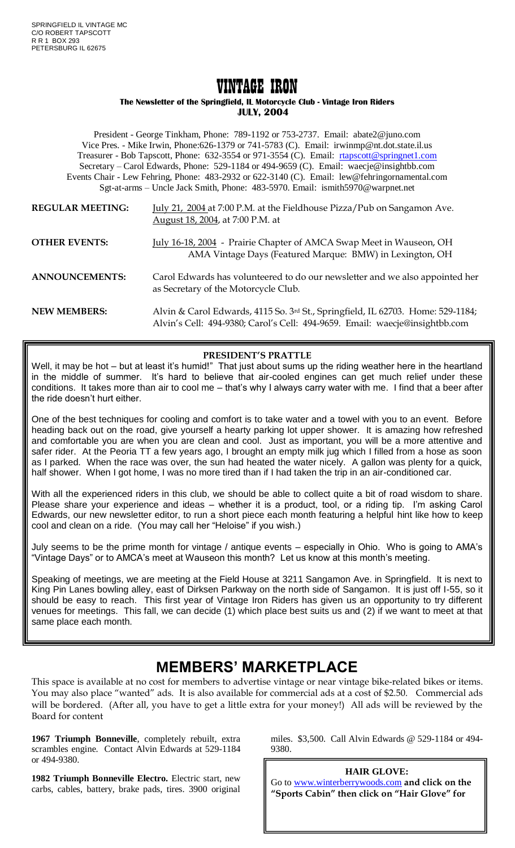# VINTAGE IRON

#### **The Newsletter of the Springfield, IL Motorcycle Club - Vintage Iron Riders JULY, 2004**

President - George Tinkham, Phone: 789-1192 or 753-2737. Email: abate2@juno.com Vice Pres. - Mike Irwin, Phone:626-1379 or 741-5783 (C). Email: irwinmp@nt.dot.state.il.us Treasurer - Bob Tapscott, Phone: 632-3554 or 971-3554 (C). Email: [rtapscott@springnet1.com](mailto:rtapscott@springnet1.com) Secretary – Carol Edwards, Phone: 529-1184 or 494-9659 (C). Email: waecje@insightbb.com Events Chair - Lew Fehring, Phone: 483-2932 or 622-3140 (C). Email: lew@fehringornamental.com Sgt-at-arms – Uncle Jack Smith, Phone: 483-5970. Email: ismith5970@warpnet.net

- **REGULAR MEETING:** July 21, 2004 at 7:00 P.M. at the Fieldhouse Pizza/Pub on Sangamon Ave. August 18, 2004, at 7:00 P.M. at
- **OTHER EVENTS:** July 16-18, 2004 Prairie Chapter of AMCA Swap Meet in Wauseon, OH AMA Vintage Days (Featured Marque: BMW) in Lexington, OH
- **ANNOUNCEMENTS:** Carol Edwards has volunteered to do our newsletter and we also appointed her as Secretary of the Motorcycle Club.
- **NEW MEMBERS:** Alvin & Carol Edwards, 4115 So. 3rd St., Springfield, IL 62703. Home: 529-1184; Alvin's Cell: 494-9380; Carol's Cell: 494-9659. Email: waecje@insightbb.com

## **PRESIDENT'S PRATTLE**

Well, it may be hot – but at least it's humid!" That just about sums up the riding weather here in the heartland in the middle of summer. It's hard to believe that air-cooled engines can get much relief under these conditions. It takes more than air to cool me – that's why I always carry water with me. I find that a beer after the ride doesn't hurt either.

One of the best techniques for cooling and comfort is to take water and a towel with you to an event. Before heading back out on the road, give yourself a hearty parking lot upper shower. It is amazing how refreshed and comfortable you are when you are clean and cool. Just as important, you will be a more attentive and safer rider. At the Peoria TT a few years ago, I brought an empty milk jug which I filled from a hose as soon as I parked. When the race was over, the sun had heated the water nicely. A gallon was plenty for a quick, half shower. When I got home, I was no more tired than if I had taken the trip in an air-conditioned car.

With all the experienced riders in this club, we should be able to collect quite a bit of road wisdom to share. Please share your experience and ideas – whether it is a product, tool, or a riding tip. I'm asking Carol Edwards, our new newsletter editor, to run a short piece each month featuring a helpful hint like how to keep cool and clean on a ride. (You may call her "Heloise" if you wish.)

July seems to be the prime month for vintage / antique events – especially in Ohio. Who is going to AMA's "Vintage Days" or to AMCA's meet at Wauseon this month? Let us know at this month's meeting.

Speaking of meetings, we are meeting at the Field House at 3211 Sangamon Ave. in Springfield. It is next to King Pin Lanes bowling alley, east of Dirksen Parkway on the north side of Sangamon. It is just off I-55, so it should be easy to reach. This first year of Vintage Iron Riders has given us an opportunity to try different venues for meetings. This fall, we can decide (1) which place best suits us and (2) if we want to meet at that same place each month.

# **MEMBERS' MARKETPLACE**

This space is available at no cost for members to advertise vintage or near vintage bike-related bikes or items. You may also place "wanted" ads. It is also available for commercial ads at a cost of \$2.50. Commercial ads will be bordered. (After all, you have to get a little extra for your money!) All ads will be reviewed by the Board for content

**1967 Triumph Bonneville**, completely rebuilt, extra scrambles engine. Contact Alvin Edwards at 529-1184 or 494-9380.

**1982 Triumph Bonneville Electro.** Electric start, new carbs, cables, battery, brake pads, tires. 3900 original miles. \$3,500. Call Alvin Edwards @ 529-1184 or 494- 9380.

**HAIR GLOVE:** Go to [www.winterberrywoods.com](http://www.winterberrywoods.com/) **and click on the "Sports Cabin" then click on "Hair Glove" for**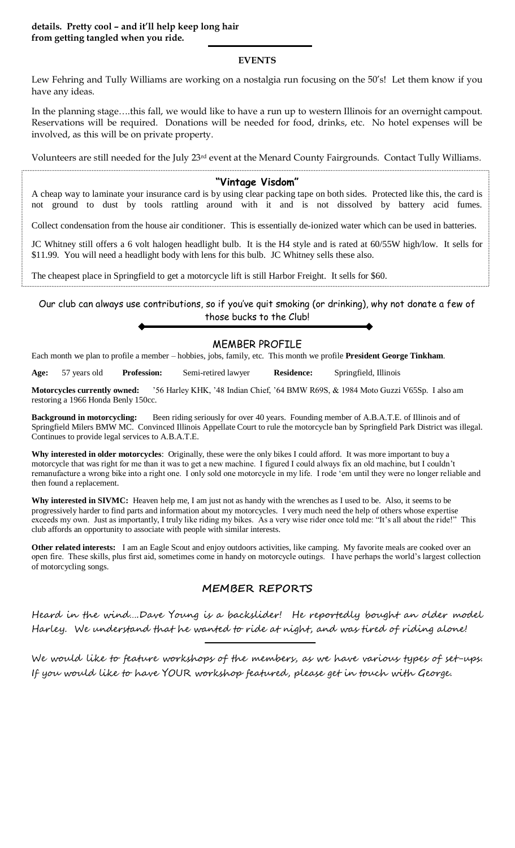#### **details. Pretty cool – and it'll help keep long hair from getting tangled when you ride.**

#### **EVENTS**

Lew Fehring and Tully Williams are working on a nostalgia run focusing on the 50's! Let them know if you have any ideas.

In the planning stage….this fall, we would like to have a run up to western Illinois for an overnight campout. Reservations will be required. Donations will be needed for food, drinks, etc. No hotel expenses will be involved, as this will be on private property.

Volunteers are still needed for the July  $23<sup>rd</sup>$  event at the Menard County Fairgrounds. Contact Tully Williams.

#### **"Vintage Visdom"**

A cheap way to laminate your insurance card is by using clear packing tape on both sides. Protected like this, the card is not ground to dust by tools rattling around with it and is not dissolved by battery acid fumes.

Collect condensation from the house air conditioner. This is essentially de-ionized water which can be used in batteries.

JC Whitney still offers a 6 volt halogen headlight bulb. It is the H4 style and is rated at 60/55W high/low. It sells for \$11.99. You will need a headlight body with lens for this bulb. JC Whitney sells these also.

The cheapest place in Springfield to get a motorcycle lift is still Harbor Freight. It sells for \$60.

Our club can always use contributions, so if you've quit smoking (or drinking), why not donate a few of those bucks to the Club!

### MEMBER PROFILE

Each month we plan to profile a member – hobbies, jobs, family, etc. This month we profile **President George Tinkham**.

**Age:** 57 years old **Profession:** Semi-retired lawyer **Residence:** Springfield, Illinois

**Motorcycles currently owned:** '56 Harley KHK, '48 Indian Chief, '64 BMW R69S, & 1984 Moto Guzzi V65Sp. I also am restoring a 1966 Honda Benly 150cc.

**Background in motorcycling:** Been riding seriously for over 40 years. Founding member of A.B.A.T.E. of Illinois and of Springfield Milers BMW MC. Convinced Illinois Appellate Court to rule the motorcycle ban by Springfield Park District was illegal. Continues to provide legal services to A.B.A.T.E.

**Why interested in older motorcycles**: Originally, these were the only bikes I could afford. It was more important to buy a motorcycle that was right for me than it was to get a new machine. I figured I could always fix an old machine, but I couldn't remanufacture a wrong bike into a right one. I only sold one motorcycle in my life. I rode 'em until they were no longer reliable and then found a replacement.

**Why interested in SIVMC:** Heaven help me, I am just not as handy with the wrenches as I used to be. Also, it seems to be progressively harder to find parts and information about my motorcycles. I very much need the help of others whose expertise exceeds my own. Just as importantly, I truly like riding my bikes. As a very wise rider once told me: "It's all about the ride!" This club affords an opportunity to associate with people with similar interests.

**Other related interests:** I am an Eagle Scout and enjoy outdoors activities, like camping. My favorite meals are cooked over an open fire. These skills, plus first aid, sometimes come in handy on motorcycle outings. I have perhaps the world's largest collection of motorcycling songs.

## **MEMBER REPORTS**

Heard in the wind….Dave Young is a backslider! He reportedly bought an older model Harley. We understand that he wanted to ride at night, and was tired of riding alone!

We would like to feature workshops of the members, as we have various types of set-ups. If you would like to have YOUR workshop featured, please get in touch with George.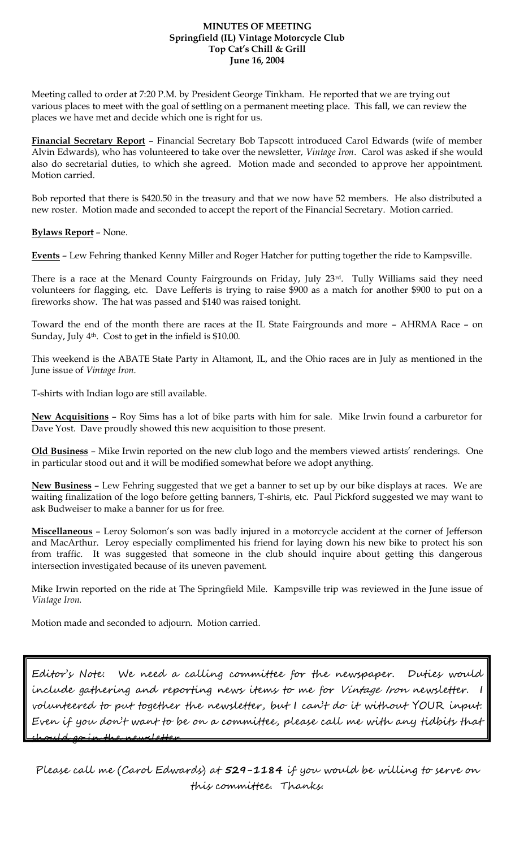#### **MINUTES OF MEETING Springfield (IL) Vintage Motorcycle Club Top Cat's Chill & Grill June 16, 2004**

Meeting called to order at 7:20 P.M. by President George Tinkham. He reported that we are trying out various places to meet with the goal of settling on a permanent meeting place. This fall, we can review the places we have met and decide which one is right for us.

**Financial Secretary Report** – Financial Secretary Bob Tapscott introduced Carol Edwards (wife of member Alvin Edwards), who has volunteered to take over the newsletter, *Vintage Iron*. Carol was asked if she would also do secretarial duties, to which she agreed. Motion made and seconded to approve her appointment. Motion carried.

Bob reported that there is \$420.50 in the treasury and that we now have 52 members. He also distributed a new roster. Motion made and seconded to accept the report of the Financial Secretary. Motion carried.

#### **Bylaws Report** – None.

**Events** – Lew Fehring thanked Kenny Miller and Roger Hatcher for putting together the ride to Kampsville.

There is a race at the Menard County Fairgrounds on Friday, July 23rd. Tully Williams said they need volunteers for flagging, etc. Dave Lefferts is trying to raise \$900 as a match for another \$900 to put on a fireworks show. The hat was passed and \$140 was raised tonight.

Toward the end of the month there are races at the IL State Fairgrounds and more – AHRMA Race – on Sunday, July 4<sup>th</sup>. Cost to get in the infield is \$10.00.

This weekend is the ABATE State Party in Altamont, IL, and the Ohio races are in July as mentioned in the June issue of *Vintage Iron*.

T-shirts with Indian logo are still available.

**New Acquisitions** – Roy Sims has a lot of bike parts with him for sale. Mike Irwin found a carburetor for Dave Yost. Dave proudly showed this new acquisition to those present.

**Old Business** – Mike Irwin reported on the new club logo and the members viewed artists' renderings. One in particular stood out and it will be modified somewhat before we adopt anything.

**New Business** – Lew Fehring suggested that we get a banner to set up by our bike displays at races. We are waiting finalization of the logo before getting banners, T-shirts, etc. Paul Pickford suggested we may want to ask Budweiser to make a banner for us for free.

**Miscellaneous** – Leroy Solomon's son was badly injured in a motorcycle accident at the corner of Jefferson and MacArthur. Leroy especially complimented his friend for laying down his new bike to protect his son from traffic. It was suggested that someone in the club should inquire about getting this dangerous intersection investigated because of its uneven pavement.

Mike Irwin reported on the ride at The Springfield Mile. Kampsville trip was reviewed in the June issue of *Vintage Iron.*

Motion made and seconded to adjourn. Motion carried.

Editor's Note: We need a calling committee for the newspaper. Duties would include gathering and reporting news items to me for Vintage Iron newsletter. I volunteered to put together the newsletter, but I can't do it without YOUR input. Even if you don't want to be on a committee, please call me with any tidbits that should go in the newsletter.

Please call me (Carol Edwards) at **529-1184** if you would be willing to serve on this committee. Thanks.